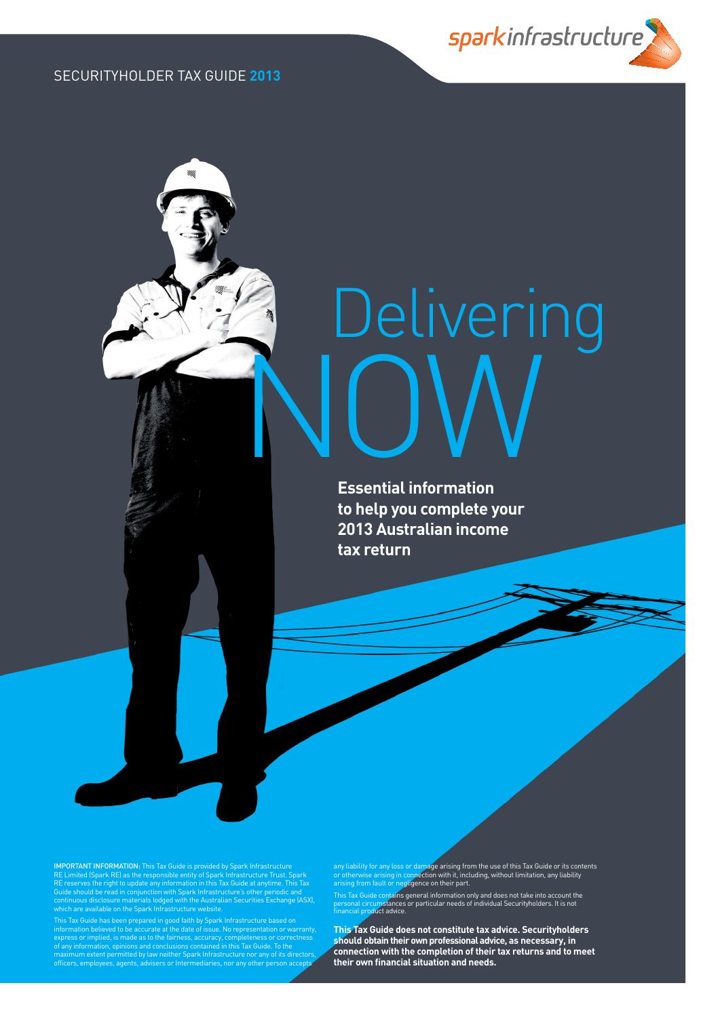sparkinfrastructure

# Delivering **NOW**

**Essential information to help you complete your 2013 Australian income tax return**

**IMPORTANT INFORMATION:** This Tax Guide is provided by Spark Infrastructure<br>RE Limited (Spark RE) as the responsible entity of Spark Infrastructure Trust. Spark<br>RE reserves the right to update any information in this Tax G

This Tax Guide has been prepared in good faith by Spark Infrastructure based on<br>information believed to be accurate at the date of issue. No representation or warranty,<br>express or implied, is made as to the fairness, accur of any information, opinions and conclusions contained in this Tax Guide. To the<br>maximum extent permitted by law neither Spark Infrastructure nor any of its directors,<br>officers, employees, agents, advisers or Intermediarie any liability for any loss or damage arising from the use of this Tax Guide or its contents<br>or otherwise arising in connection with it, including, without limitation, any liability<br>arising from fault or negligence on their

This Tax Guide contains general information only and does not take into account the<br>personal circumstances or particular needs of individual Securityholders. It is not<br>financial product advice.

**This Tax Guide does not constitute tax advice. Securityholders should obtain their own professional advice, as necessary, in connection with the completion of their tax returns and to meet their own fi nancial situation and needs.**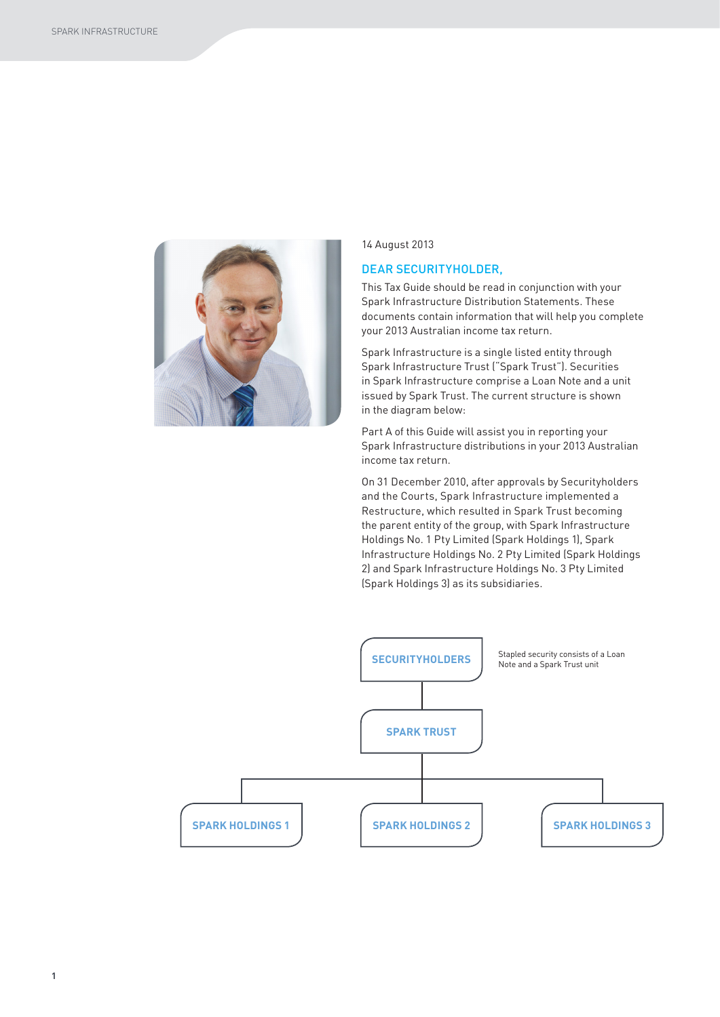

14 August 2013

### DEAR SECURITYHOLDER,

This Tax Guide should be read in conjunction with your Spark Infrastructure Distribution Statements. These documents contain information that will help you complete your 2013 Australian income tax return.

Spark Infrastructure is a single listed entity through Spark Infrastructure Trust ("Spark Trust"). Securities in Spark Infrastructure comprise a Loan Note and a unit issued by Spark Trust. The current structure is shown in the diagram below:

Part A of this Guide will assist you in reporting your Spark Infrastructure distributions in your 2013 Australian income tax return.

On 31 December 2010, after approvals by Securityholders and the Courts, Spark Infrastructure implemented a Restructure, which resulted in Spark Trust becoming the parent entity of the group, with Spark Infrastructure Holdings No. 1 Pty Limited (Spark Holdings 1), Spark Infrastructure Holdings No. 2 Pty Limited (Spark Holdings 2) and Spark Infrastructure Holdings No. 3 Pty Limited (Spark Holdings 3) as its subsidiaries.

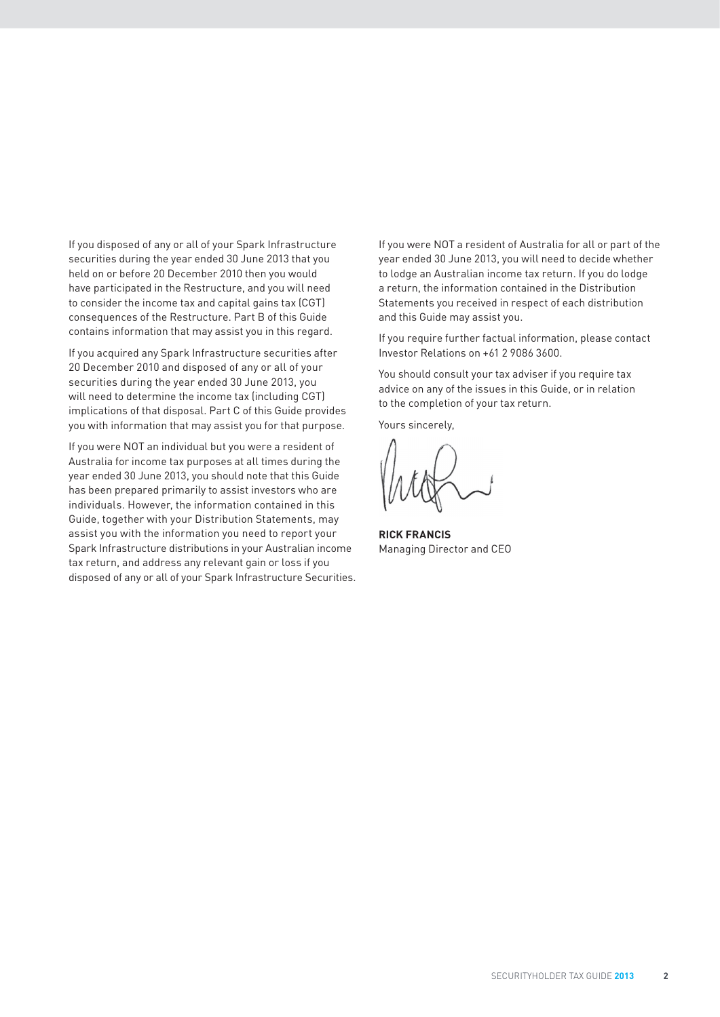If you disposed of any or all of your Spark Infrastructure securities during the year ended 30 June 2013 that you held on or before 20 December 2010 then you would have participated in the Restructure, and you will need to consider the income tax and capital gains tax (CGT) consequences of the Restructure. Part B of this Guide contains information that may assist you in this regard.

If you acquired any Spark Infrastructure securities after 20 December 2010 and disposed of any or all of your securities during the year ended 30 June 2013, you will need to determine the income tax (including CGT) implications of that disposal. Part C of this Guide provides you with information that may assist you for that purpose.

If you were NOT an individual but you were a resident of Australia for income tax purposes at all times during the year ended 30 June 2013, you should note that this Guide has been prepared primarily to assist investors who are individuals. However, the information contained in this Guide, together with your Distribution Statements, may assist you with the information you need to report your Spark Infrastructure distributions in your Australian income tax return, and address any relevant gain or loss if you disposed of any or all of your Spark Infrastructure Securities. If you were NOT a resident of Australia for all or part of the year ended 30 June 2013, you will need to decide whether to lodge an Australian income tax return. If you do lodge a return, the information contained in the Distribution Statements you received in respect of each distribution and this Guide may assist you.

If you require further factual information, please contact Investor Relations on +61 2 9086 3600.

You should consult your tax adviser if you require tax advice on any of the issues in this Guide, or in relation to the completion of your tax return.

Yours sincerely,

**RICK FRANCIS** Managing Director and CEO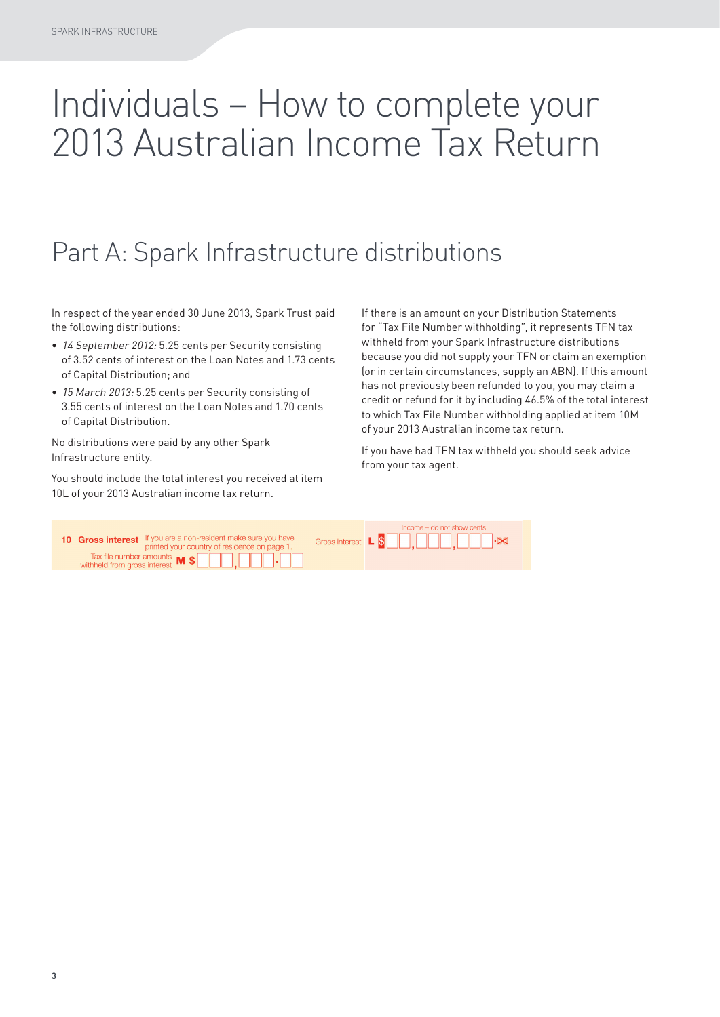# Individuals – How to complete your 2013 Australian Income Tax Return

## Part A: Spark Infrastructure distributions

In respect of the year ended 30 June 2013, Spark Trust paid the following distributions:

- 14 September 2012: 5.25 cents per Security consisting of 3.52 cents of interest on the Loan Notes and 1.73 cents of Capital Distribution; and
- 15 March 2013: 5.25 cents per Security consisting of 3.55 cents of interest on the Loan Notes and 1.70 cents of Capital Distribution.

No distributions were paid by any other Spark Infrastructure entity.

You should include the total interest you received at item 10L of your 2013 Australian income tax return.

If there is an amount on your Distribution Statements for "Tax File Number withholding", it represents TFN tax withheld from your Spark Infrastructure distributions because you did not supply your TFN or claim an exemption (or in certain circumstances, supply an ABN). If this amount has not previously been refunded to you, you may claim a credit or refund for it by including 46.5% of the total interest to which Tax File Number withholding applied at item 10M of your 2013 Australian income tax return.

If you have had TFN tax withheld you should seek advice from your tax agent.

| 10 Gross interest If you are a non-resident make sure you have<br>printed your country of residence on page 1.                   | $Income - do not show cents$<br>Gross interest L S C C Cross interest L S C C |  |  |
|----------------------------------------------------------------------------------------------------------------------------------|-------------------------------------------------------------------------------|--|--|
| Tax file number amounts $\blacksquare$ $\blacksquare$ $\blacksquare$ $\blacksquare$ $\blacksquare$ $\blacksquare$ $\blacksquare$ |                                                                               |  |  |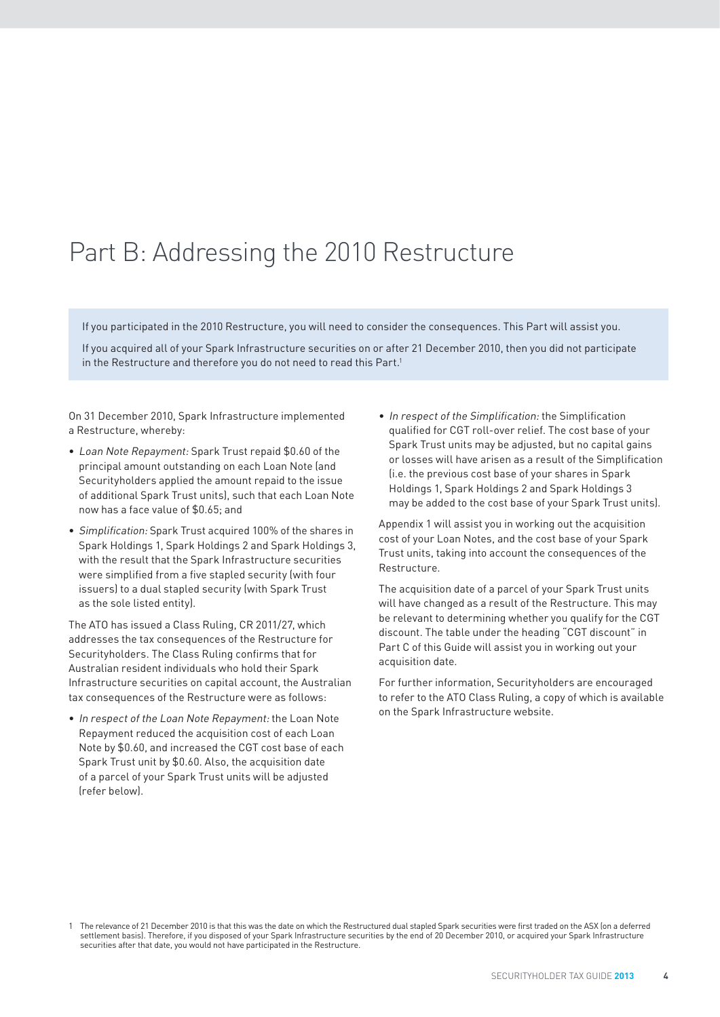## Part B: Addressing the 2010 Restructure

If you participated in the 2010 Restructure, you will need to consider the consequences. This Part will assist you.

If you acquired all of your Spark Infrastructure securities on or after 21 December 2010, then you did not participate in the Restructure and therefore you do not need to read this Part.<sup>1</sup>

On 31 December 2010, Spark Infrastructure implemented a Restructure, whereby:

- Loan Note Repayment: Spark Trust repaid \$0.60 of the principal amount outstanding on each Loan Note (and Securityholders applied the amount repaid to the issue of additional Spark Trust units), such that each Loan Note now has a face value of \$0.65; and
- Simplification: Spark Trust acquired 100% of the shares in Spark Holdings 1, Spark Holdings 2 and Spark Holdings 3, with the result that the Spark Infrastructure securities were simplified from a five stapled security (with four issuers) to a dual stapled security (with Spark Trust as the sole listed entity).

The ATO has issued a Class Ruling, CR 2011/27, which addresses the tax consequences of the Restructure for Securityholders. The Class Ruling confirms that for Australian resident individuals who hold their Spark Infrastructure securities on capital account, the Australian tax consequences of the Restructure were as follows:

• In respect of the Loan Note Repayment: the Loan Note Repayment reduced the acquisition cost of each Loan Note by \$0.60, and increased the CGT cost base of each Spark Trust unit by \$0.60. Also, the acquisition date of a parcel of your Spark Trust units will be adjusted (refer below).

• In respect of the Simplification: the Simplification qualified for CGT roll-over relief. The cost base of your Spark Trust units may be adjusted, but no capital gains or losses will have arisen as a result of the Simplification (i.e. the previous cost base of your shares in Spark Holdings 1, Spark Holdings 2 and Spark Holdings 3 may be added to the cost base of your Spark Trust units).

Appendix 1 will assist you in working out the acquisition cost of your Loan Notes, and the cost base of your Spark Trust units, taking into account the consequences of the Restructure.

The acquisition date of a parcel of your Spark Trust units will have changed as a result of the Restructure. This may be relevant to determining whether you qualify for the CGT discount. The table under the heading "CGT discount" in Part C of this Guide will assist you in working out your acquisition date.

For further information, Securityholders are encouraged to refer to the ATO Class Ruling, a copy of which is available on the Spark Infrastructure website.

<sup>1</sup> The relevance of 21 December 2010 is that this was the date on which the Restructured dual stapled Spark securities were first traded on the ASX (on a deferred settlement basis). Therefore, if you disposed of your Spark Infrastructure securities by the end of 20 December 2010, or acquired your Spark Infrastructure securities after that date, you would not have participated in the Restructure.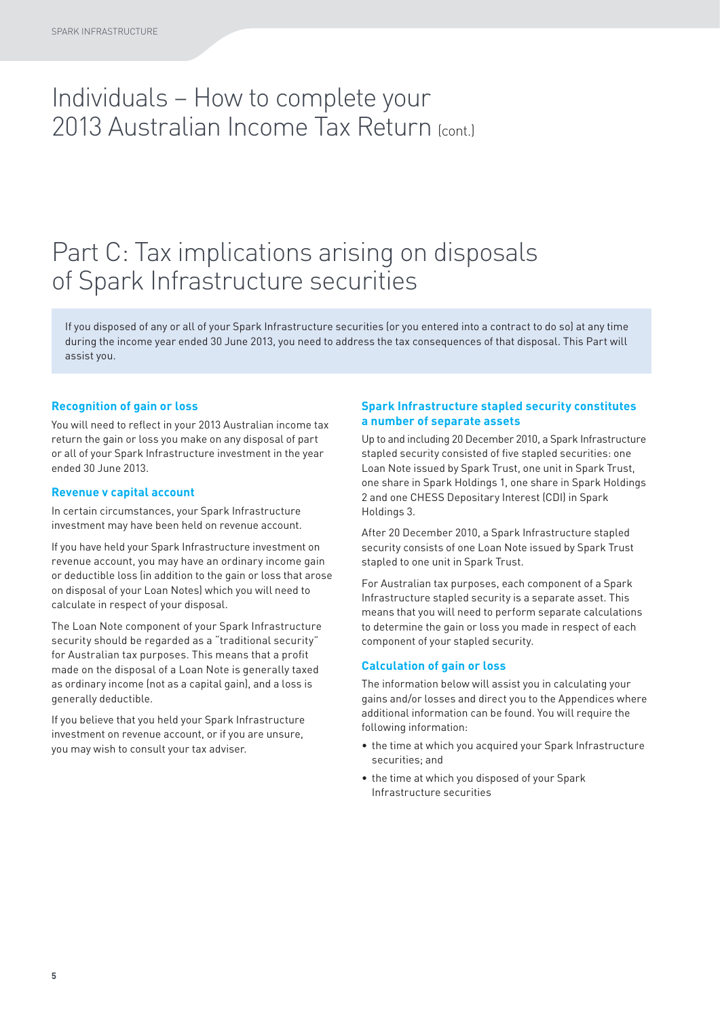### Individuals – How to complete your 2013 Australian Income Tax Return (cont.)

### Part C: Tax implications arising on disposals of Spark Infrastructure securities

If you disposed of any or all of your Spark Infrastructure securities (or you entered into a contract to do so) at any time during the income year ended 30 June 2013, you need to address the tax consequences of that disposal. This Part will assist you.

### **Recognition of gain or loss**

You will need to reflect in your 2013 Australian income tax return the gain or loss you make on any disposal of part or all of your Spark Infrastructure investment in the year ended 30 June 2013.

#### **Revenue v capital account**

In certain circumstances, your Spark Infrastructure investment may have been held on revenue account.

If you have held your Spark Infrastructure investment on revenue account, you may have an ordinary income gain or deductible loss (in addition to the gain or loss that arose on disposal of your Loan Notes) which you will need to calculate in respect of your disposal.

The Loan Note component of your Spark Infrastructure security should be regarded as a "traditional security" for Australian tax purposes. This means that a profit made on the disposal of a Loan Note is generally taxed as ordinary income (not as a capital gain), and a loss is generally deductible.

If you believe that you held your Spark Infrastructure investment on revenue account, or if you are unsure, you may wish to consult your tax adviser.

### **Spark Infrastructure stapled security constitutes a number of separate assets**

Up to and including 20 December 2010, a Spark Infrastructure stapled security consisted of five stapled securities: one Loan Note issued by Spark Trust, one unit in Spark Trust, one share in Spark Holdings 1, one share in Spark Holdings 2 and one CHESS Depositary Interest (CDI) in Spark Holdings 3.

After 20 December 2010, a Spark Infrastructure stapled security consists of one Loan Note issued by Spark Trust stapled to one unit in Spark Trust.

For Australian tax purposes, each component of a Spark Infrastructure stapled security is a separate asset. This means that you will need to perform separate calculations to determine the gain or loss you made in respect of each component of your stapled security.

### **Calculation of gain or loss**

The information below will assist you in calculating your gains and/or losses and direct you to the Appendices where additional information can be found. You will require the following information:

- the time at which you acquired your Spark Infrastructure securities; and
- the time at which you disposed of your Spark Infrastructure securities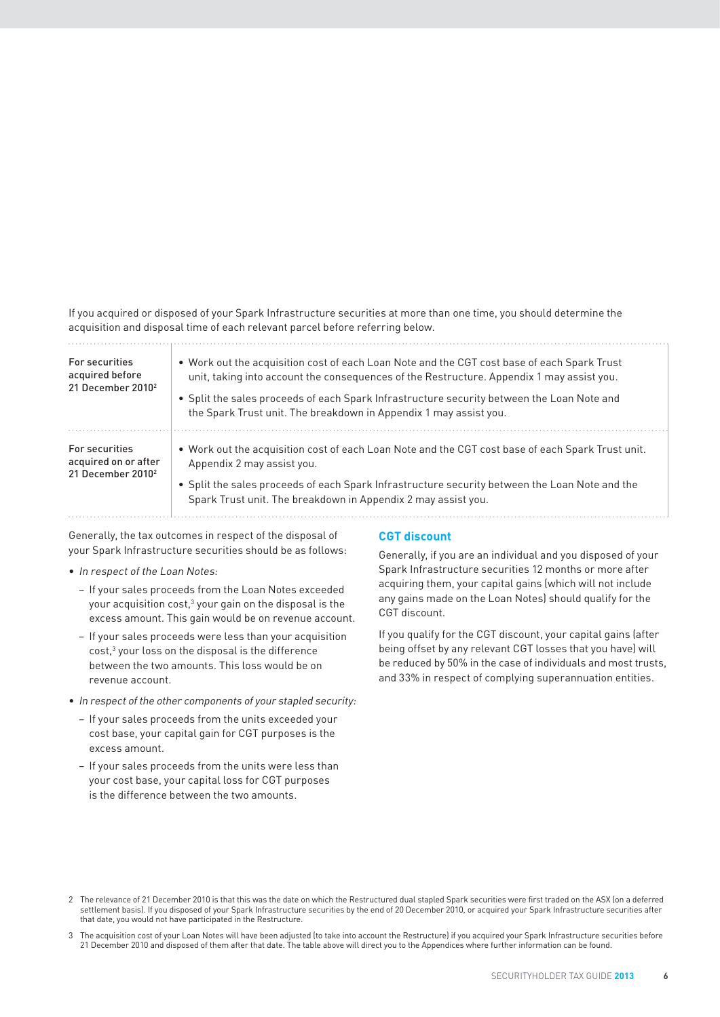If you acquired or disposed of your Spark Infrastructure securities at more than one time, you should determine the acquisition and disposal time of each relevant parcel before referring below.

| For securities<br>acquired before<br>21 December 2010 <sup>2</sup>      | • Work out the acquisition cost of each Loan Note and the CGT cost base of each Spark Trust<br>unit, taking into account the consequences of the Restructure. Appendix 1 may assist you.<br>• Split the sales proceeds of each Spark Infrastructure security between the Loan Note and<br>the Spark Trust unit. The breakdown in Appendix 1 may assist you. |
|-------------------------------------------------------------------------|-------------------------------------------------------------------------------------------------------------------------------------------------------------------------------------------------------------------------------------------------------------------------------------------------------------------------------------------------------------|
| For securities<br>acquired on or after<br>21 December 2010 <sup>2</sup> | . Work out the acquisition cost of each Loan Note and the CGT cost base of each Spark Trust unit.<br>Appendix 2 may assist you.<br>• Split the sales proceeds of each Spark Infrastructure security between the Loan Note and the<br>Spark Trust unit. The breakdown in Appendix 2 may assist you.                                                          |

Generally, the tax outcomes in respect of the disposal of your Spark Infrastructure securities should be as follows:

- In respect of the Loan Notes:
	- − If your sales proceeds from the Loan Notes exceeded your acquisition cost, $^3$  your gain on the disposal is the excess amount. This gain would be on revenue account.
	- − If your sales proceeds were less than your acquisition  $cost$ , $3$  your loss on the disposal is the difference between the two amounts. This loss would be on revenue account.
- In respect of the other components of your stapled security:
	- − If your sales proceeds from the units exceeded your cost base, your capital gain for CGT purposes is the excess amount.
	- − If your sales proceeds from the units were less than your cost base, your capital loss for CGT purposes is the difference between the two amounts.

### **CGT discount**

Generally, if you are an individual and you disposed of your Spark Infrastructure securities 12 months or more after acquiring them, your capital gains (which will not include any gains made on the Loan Notes) should qualify for the CGT discount.

If you qualify for the CGT discount, your capital gains (after being offset by any relevant CGT losses that you have) will be reduced by 50% in the case of individuals and most trusts, and 33% in respect of complying superannuation entities.

<sup>2</sup> The relevance of 21 December 2010 is that this was the date on which the Restructured dual stapled Spark securities were first traded on the ASX (on a deferred settlement basis). If you disposed of your Spark Infrastructure securities by the end of 20 December 2010, or acquired your Spark Infrastructure securities after that date, you would not have participated in the Restructure.

<sup>3</sup> The acquisition cost of your Loan Notes will have been adjusted (to take into account the Restructure) if you acquired your Spark Infrastructure securities before 21 December 2010 and disposed of them after that date. The table above will direct you to the Appendices where further information can be found.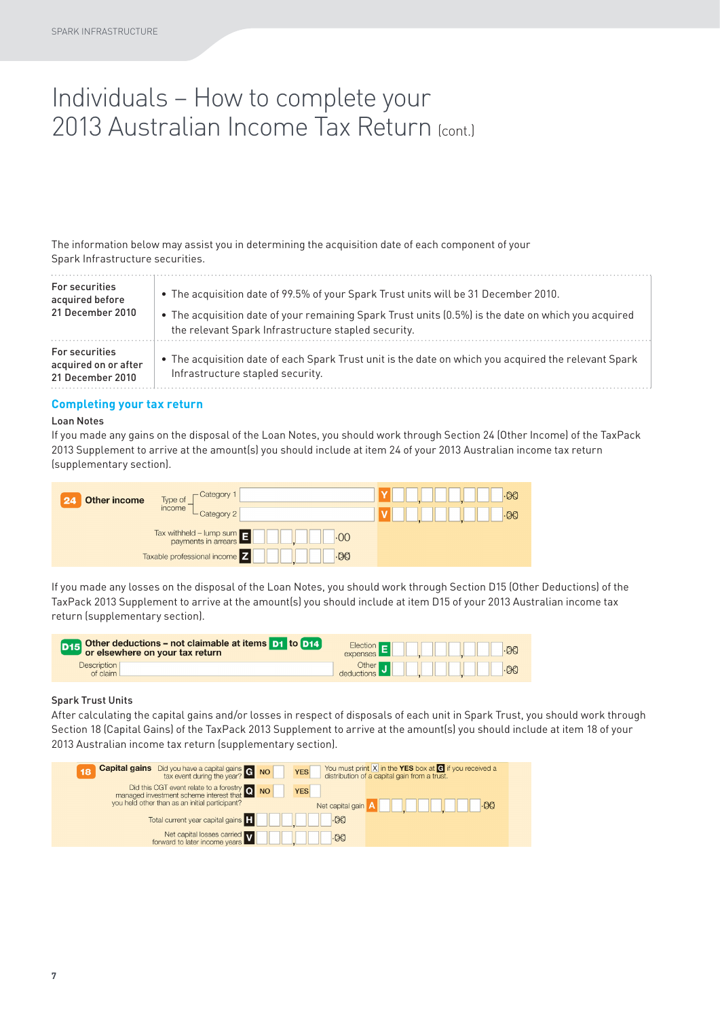### Individuals – How to complete your 2013 Australian Income Tax Return (cont.)

The information below may assist you in determining the acquisition date of each component of your Spark Infrastructure securities.

| <b>For securities</b>                                             | . The acquisition date of 99.5% of your Spark Trust units will be 31 December 2010.                                                      |
|-------------------------------------------------------------------|------------------------------------------------------------------------------------------------------------------------------------------|
| acquired before                                                   | • The acquisition date of your remaining Spark Trust units (0.5%) is the date on which you acquired                                      |
| 21 December 2010                                                  | the relevant Spark Infrastructure stapled security.                                                                                      |
| <b>For securities</b><br>acquired on or after<br>21 December 2010 | • The acquisition date of each Spark Trust unit is the date on which you acquired the relevant Spark<br>Infrastructure stapled security. |

#### **Completing your tax return**

#### Loan Notes

If you made any gains on the disposal of the Loan Notes, you should work through Section 24 (Other Income) of the TaxPack 2013 Supplement to arrive at the amount(s) you should include at item 24 of your 2013 Australian income tax return (supplementary section).



If you made any losses on the disposal of the Loan Notes, you should work through Section D15 (Other Deductions) of the TaxPack 2013 Supplement to arrive at the amount(s) you should include at item D15 of your 2013 Australian income tax return (supplementary section).

| D15 Other deductions – not claimable at items D1 to D12<br>or elsewhere on your tax return | $Election - 1$<br>$-00$<br>expenses |
|--------------------------------------------------------------------------------------------|-------------------------------------|
| <b>Description</b>                                                                         | Other                               |
| of claim                                                                                   | $-00$                               |

#### Spark Trust Units

After calculating the capital gains and/or losses in respect of disposals of each unit in Spark Trust, you should work through Section 18 (Capital Gains) of the TaxPack 2013 Supplement to arrive at the amount(s) you should include at item 18 of your 2013 Australian income tax return (supplementary section).

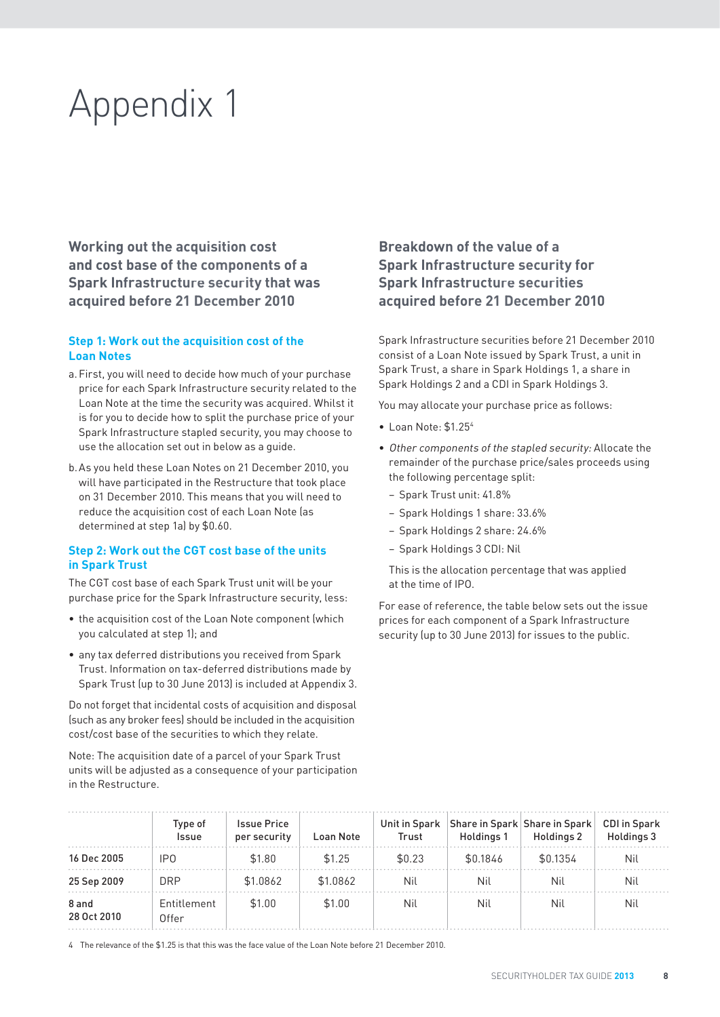# Appendix 1

**Working out the acquisition cost and cost base of the components of a Spark Infrastructure security that was acquired before 21 December 2010**

### **Step 1: Work out the acquisition cost of the Loan Notes**

- a. First, you will need to decide how much of your purchase price for each Spark Infrastructure security related to the Loan Note at the time the security was acquired. Whilst it is for you to decide how to split the purchase price of your Spark Infrastructure stapled security, you may choose to use the allocation set out in below as a guide.
- b. As you held these Loan Notes on 21 December 2010, you will have participated in the Restructure that took place on 31 December 2010. This means that you will need to reduce the acquisition cost of each Loan Note (as determined at step 1a) by \$0.60.

### **Step 2: Work out the CGT cost base of the units in Spark Trust**

The CGT cost base of each Spark Trust unit will be your purchase price for the Spark Infrastructure security, less:

- the acquisition cost of the Loan Note component (which you calculated at step 1); and
- any tax deferred distributions you received from Spark Trust. Information on tax-deferred distributions made by Spark Trust (up to 30 June 2013) is included at Appendix 3.

Do not forget that incidental costs of acquisition and disposal (such as any broker fees) should be included in the acquisition cost/cost base of the securities to which they relate.

Note: The acquisition date of a parcel of your Spark Trust units will be adjusted as a consequence of your participation in the Restructure.

### **Breakdown of the value of a Spark Infrastructure security for Spark Infrastructure securities acquired before 21 December 2010**

Spark Infrastructure securities before 21 December 2010 consist of a Loan Note issued by Spark Trust, a unit in Spark Trust, a share in Spark Holdings 1, a share in Spark Holdings 2 and a CDI in Spark Holdings 3.

You may allocate your purchase price as follows:

- Loan Note: \$1.254
- Other components of the stapled security: Allocate the remainder of the purchase price/sales proceeds using the following percentage split:
	- − Spark Trust unit: 41.8%
	- − Spark Holdings 1 share: 33.6%
	- − Spark Holdings 2 share: 24.6%
	- − Spark Holdings 3 CDI: Nil

 This is the allocation percentage that was applied at the time of IPO.

For ease of reference, the table below sets out the issue prices for each component of a Spark Infrastructure security (up to 30 June 2013) for issues to the public.

|                      | Type of<br><b>Issue</b> | <b>Issue Price</b><br>per security | Loan Note | Trust  | Unit in Spark Share in Spark Share in Spark<br>Holdings 1 | Holdings 2 | <b>CDI</b> in Spark<br>Holdings 3 |
|----------------------|-------------------------|------------------------------------|-----------|--------|-----------------------------------------------------------|------------|-----------------------------------|
| 16 Dec 2005          | IP <sub>0</sub>         | \$1.80                             | \$1.25    | \$0.23 | \$0.1846                                                  | \$0.1354   | Nil                               |
| 25 Sep 2009          | <b>DRP</b>              | \$1.0862                           | \$1.0862  | Nil    | Nil                                                       | Nil        | Nil                               |
| 8 and<br>28 Oct 2010 | Entitlement<br>Offer    | \$1.00                             | \$1.00    | Nil    | Nil                                                       | Nil        | Nil                               |

4 The relevance of the \$1.25 is that this was the face value of the Loan Note before 21 December 2010.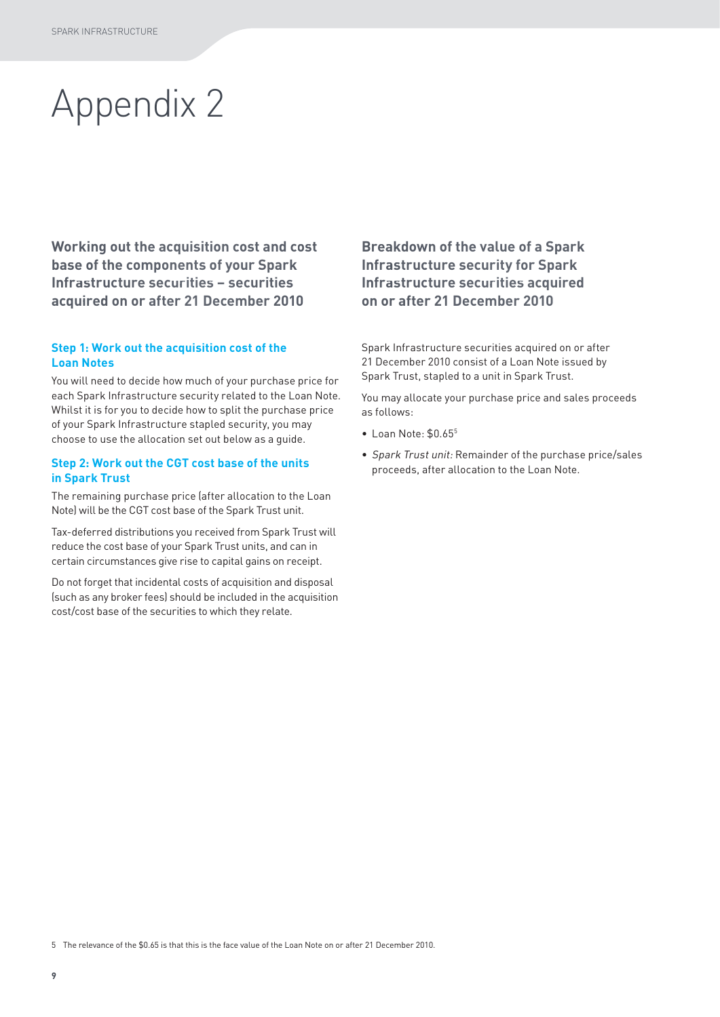# Appendix 2

**Working out the acquisition cost and cost base of the components of your Spark Infrastructure securities – securities acquired on or after 21 December 2010**

### **Step 1: Work out the acquisition cost of the Loan Notes**

You will need to decide how much of your purchase price for each Spark Infrastructure security related to the Loan Note. Whilst it is for you to decide how to split the purchase price of your Spark Infrastructure stapled security, you may choose to use the allocation set out below as a guide.

### **Step 2: Work out the CGT cost base of the units in Spark Trust**

The remaining purchase price (after allocation to the Loan Note) will be the CGT cost base of the Spark Trust unit.

Tax-deferred distributions you received from Spark Trust will reduce the cost base of your Spark Trust units, and can in certain circumstances give rise to capital gains on receipt.

Do not forget that incidental costs of acquisition and disposal (such as any broker fees) should be included in the acquisition cost/cost base of the securities to which they relate.

### **Breakdown of the value of a Spark Infrastructure security for Spark Infrastructure securities acquired on or after 21 December 2010**

Spark Infrastructure securities acquired on or after 21 December 2010 consist of a Loan Note issued by Spark Trust, stapled to a unit in Spark Trust.

You may allocate your purchase price and sales proceeds as follows:

- $\bullet$  Loan Note:  $$0.65^5$
- Spark Trust unit: Remainder of the purchase price/sales proceeds, after allocation to the Loan Note.

5 The relevance of the \$0.65 is that this is the face value of the Loan Note on or after 21 December 2010.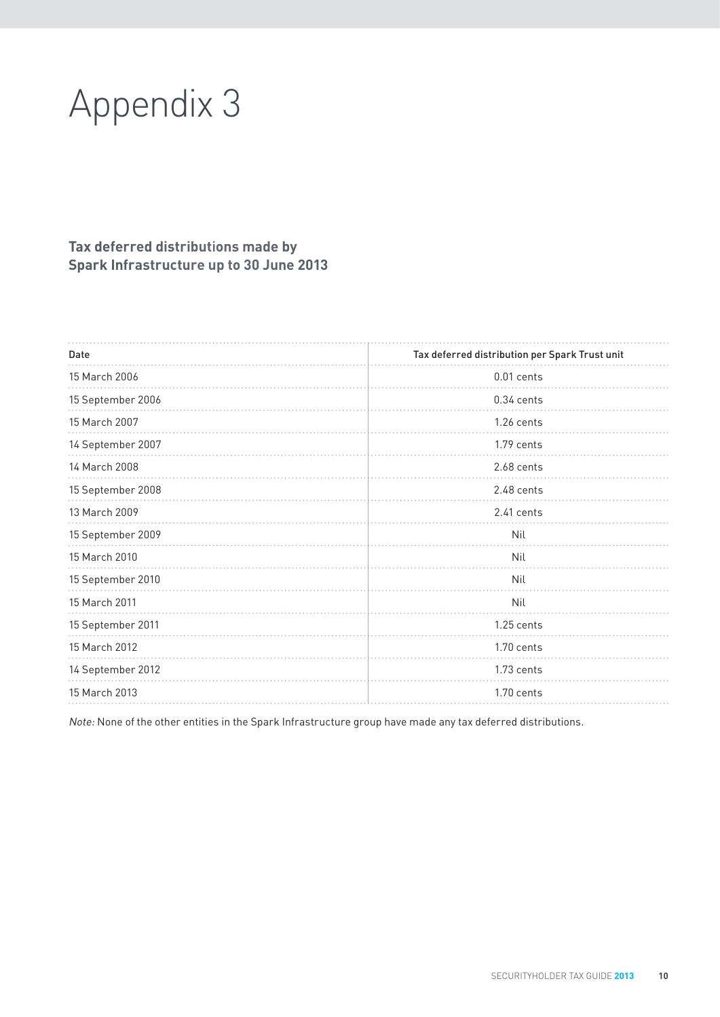# Appendix 3

### **Tax deferred distributions made by Spark Infrastructure up to 30 June 2013**

| Date              | Tax deferred distribution per Spark Trust unit |  |  |
|-------------------|------------------------------------------------|--|--|
| 15 March 2006     | 0.01 cents                                     |  |  |
| 15 September 2006 | 0.34 cents                                     |  |  |
| 15 March 2007     | 1.26 cents                                     |  |  |
| 14 September 2007 | 1.79 cents                                     |  |  |
| 14 March 2008     | 2.68 cents                                     |  |  |
| 15 September 2008 | $2.48$ cents                                   |  |  |
| 13 March 2009     | 2.41 cents                                     |  |  |
| 15 September 2009 | Nil                                            |  |  |
| 15 March 2010     | Nil                                            |  |  |
| 15 September 2010 | Nil                                            |  |  |
| 15 March 2011     | Nil                                            |  |  |
| 15 September 2011 | 1.25 cents                                     |  |  |
| 15 March 2012     | $1.70$ cents                                   |  |  |
| 14 September 2012 | 1.73 cents                                     |  |  |
| 15 March 2013     | 1.70 cents                                     |  |  |

Note: None of the other entities in the Spark Infrastructure group have made any tax deferred distributions.